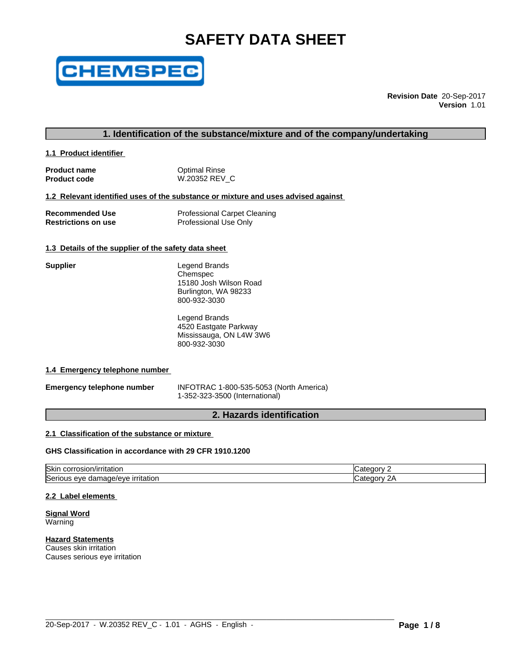# **SAFETY DATA SHEET**



**Revision Date** 20-Sep-2017 **Version** 1.01

# **1. Identification of the substance/mixture and of the company/undertaking**

**1.1 Product identifier** 

**Supplier** 

**Product name Containery Containst Product code**<br> **Product code CONTENS W.20352 REV Product code** W.20352 REV\_C

#### **1.2 Relevant identified uses of the substance or mixture and uses advised against**

| <b>Recommended Use</b>     | <b>Professional Carpet Cleaning</b> |
|----------------------------|-------------------------------------|
| <b>Restrictions on use</b> | Professional Use Only               |

#### **1.3 Details of the supplier of the safety data sheet**

| Legend Brands          |
|------------------------|
| Chemspec               |
| 15180 Josh Wilson Road |
| Burlington, WA 98233   |
| 800-932-3030           |

Legend Brands 4520 Eastgate Parkway Mississauga, ON L4W 3W6 800-932-3030

#### **1.4 Emergency telephone number**

**Emergency telephone number** INFOTRAC 1-800-535-5053 (North America) 1-352-323-3500 (International)

# **2. Hazards identification**

# **2.1 Classification of the substance or mixture**

#### **GHS Classification in accordance with 29 CFR 1910.1200**

| <b>Skir</b><br>τιτατιοι.<br>JOF.<br>JSIOP.                                           | זרזר |
|--------------------------------------------------------------------------------------|------|
| <b>Seri</b><br>$\mathbf{r}$<br>ade/eve<br>s eve<br>ritatior.<br>aar<br><br>$\cdot$ , | חרזר |

 $\_$  ,  $\_$  ,  $\_$  ,  $\_$  ,  $\_$  ,  $\_$  ,  $\_$  ,  $\_$  ,  $\_$  ,  $\_$  ,  $\_$  ,  $\_$  ,  $\_$  ,  $\_$  ,  $\_$  ,  $\_$  ,  $\_$  ,  $\_$  ,  $\_$  ,  $\_$  ,  $\_$  ,  $\_$  ,  $\_$  ,  $\_$  ,  $\_$  ,  $\_$  ,  $\_$  ,  $\_$  ,  $\_$  ,  $\_$  ,  $\_$  ,  $\_$  ,  $\_$  ,  $\_$  ,  $\_$  ,  $\_$  ,  $\_$  ,

#### **2.2 Label elements**

**Signal Word** Warning

**Hazard Statements** Causes skin irritation Causes serious eye irritation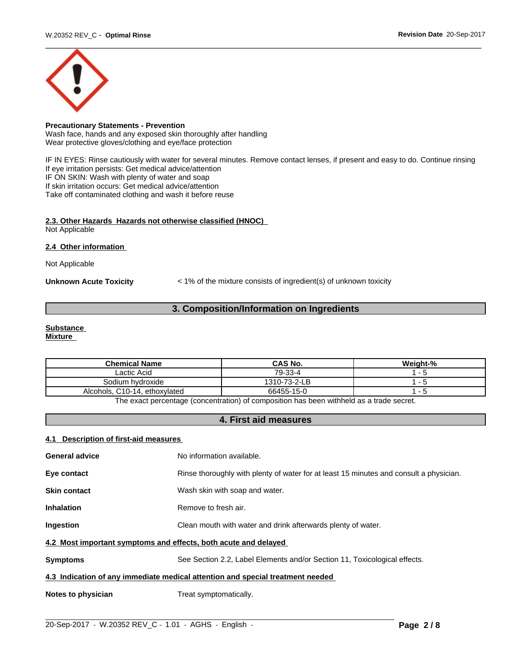

# **Precautionary Statements - Prevention**

Wash face, hands and any exposed skin thoroughly after handling Wear protective gloves/clothing and eye/face protection

IF IN EYES: Rinse cautiously with water for several minutes. Remove contact lenses, if present and easy to do. Continue rinsing If eye irritation persists: Get medical advice/attention IF ON SKIN: Wash with plenty of water and soap If skin irritation occurs: Get medical advice/attention Take off contaminated clothing and wash it before reuse

#### **2.3. Other Hazards Hazards not otherwise classified (HNOC)** Not Applicable

**2.4 Other information** 

Not Applicable

**Unknown Acute Toxicity** < 1% of the mixture consists of ingredient(s) of unknown toxicity

# **3. Composition/Information on Ingredients**

### **Substance**

**Mixture**

| <b>Chemical Name</b>          | <b>CAS No.</b> | Weight-% |
|-------------------------------|----------------|----------|
| Lactic Acid                   | 79-33-4        |          |
| Sodium hydroxide              | 1310-73-2-LB   |          |
| Alcohols, C10-14, ethoxylated | 66455-15-0     |          |

The exact percentage (concentration) of composition has been withheld as a trade secret.

# **4. First aid measures**

#### **4.1 Description of first-aid measures**

| <b>General advice</b>                                           | No information available.                                                              |  |  |
|-----------------------------------------------------------------|----------------------------------------------------------------------------------------|--|--|
| Eye contact                                                     | Rinse thoroughly with plenty of water for at least 15 minutes and consult a physician. |  |  |
| <b>Skin contact</b>                                             | Wash skin with soap and water.                                                         |  |  |
| <b>Inhalation</b>                                               | Remove to fresh air.                                                                   |  |  |
| <b>Ingestion</b>                                                | Clean mouth with water and drink afterwards plenty of water.                           |  |  |
| 4.2 Most important symptoms and effects, both acute and delayed |                                                                                        |  |  |
| <b>Symptoms</b>                                                 | See Section 2.2, Label Elements and/or Section 11, Toxicological effects.              |  |  |
|                                                                 | 4.3 Indication of any immediate medical attention and special treatment needed         |  |  |
| Notes to physician                                              | Treat symptomatically.                                                                 |  |  |
|                                                                 |                                                                                        |  |  |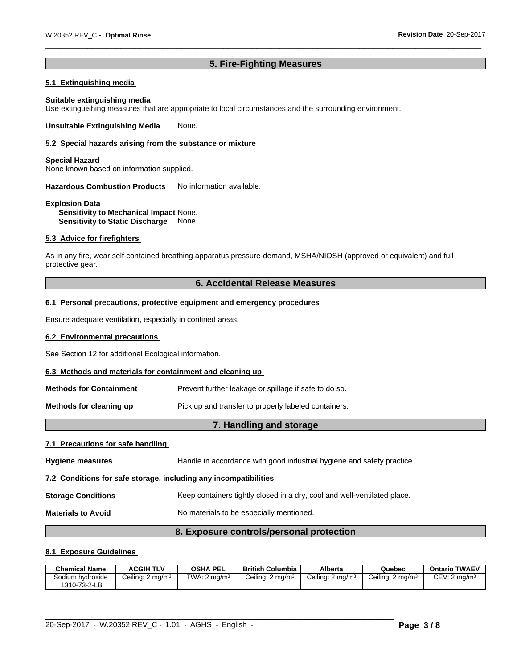# **5. Fire-Fighting Measures**

# **5.1 Extinguishing media**

#### **Suitable extinguishing media**

Use extinguishing measures that are appropriate to local circumstances and the surrounding environment.

**Unsuitable Extinguishing Media** None.

#### **5.2 Special hazards arising from the substance or mixture**

#### **Special Hazard**

None known based on information supplied.

**Hazardous Combustion Products** No information available.

#### **Explosion Data Sensitivity to Mechanical Impact** None. **Sensitivity to Static Discharge** None.

#### **5.3 Advice for firefighters**

As in any fire, wear self-contained breathing apparatus pressure-demand, MSHA/NIOSH (approved or equivalent) and full protective gear.

# **6. Accidental Release Measures**

#### **6.1 Personal precautions, protective equipment and emergency procedures**

Ensure adequate ventilation, especially in confined areas.

#### **6.2 Environmental precautions**

See Section 12 for additional Ecological information.

#### **6.3 Methods and materials for containment and cleaning up**

| Methods for Containment | Prevent further leakage or spillage if safe to do so. |
|-------------------------|-------------------------------------------------------|
|-------------------------|-------------------------------------------------------|

**Methods for cleaning up Pick** up and transfer to properly labeled containers.

# **7. Handling and storage**

#### **7.1 Precautions for safe handling**

| <b>Hygiene measures</b>                                          | Handle in accordance with good industrial hygiene and safety practice.   |  |  |
|------------------------------------------------------------------|--------------------------------------------------------------------------|--|--|
| 7.2 Conditions for safe storage, including any incompatibilities |                                                                          |  |  |
| <b>Storage Conditions</b>                                        | Keep containers tightly closed in a dry, cool and well-ventilated place. |  |  |
| <b>Materials to Avoid</b>                                        | No materials to be especially mentioned.                                 |  |  |

# **8. Exposure controls/personal protection**

#### **8.1 Exposure Guidelines**

| <b>Chemical Name</b>             | <b>ACGIH TLV</b>             | <b>OSHA PEL</b>         | <b>British Columbia</b>     | Alberta                     | Quebec                      | <b>Ontario TWAEV</b>     |
|----------------------------------|------------------------------|-------------------------|-----------------------------|-----------------------------|-----------------------------|--------------------------|
| Sodium hydroxide<br>1310-73-2-LB | Ceiling: 2 mg/m <sup>3</sup> | TWA: $2 \text{ ma/m}^3$ | Ceiling: $2 \text{ ma/m}^3$ | Ceiling: $2 \text{ mq/m}^3$ | Ceiling: $2 \text{ ma/m}^3$ | CEV: 2 mg/m <sup>3</sup> |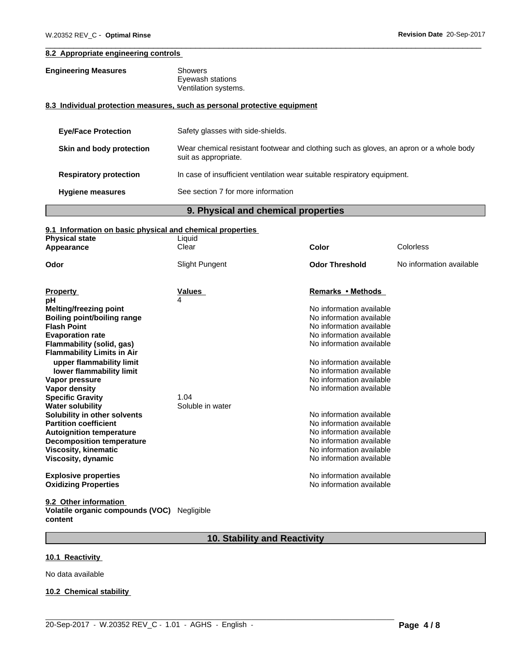### **8.2 Appropriate engineering controls**

| <b>Engineering Measures</b> | Showers              |
|-----------------------------|----------------------|
|                             | Eyewash stations     |
|                             | Ventilation systems. |

### **8.3 Individual protection measures, such as personal protective equipment**

| <b>Eye/Face Protection</b>    | Safety glasses with side-shields.                                                                              |
|-------------------------------|----------------------------------------------------------------------------------------------------------------|
| Skin and body protection      | Wear chemical resistant footwear and clothing such as gloves, an apron or a whole body<br>suit as appropriate. |
| <b>Respiratory protection</b> | In case of insufficient ventilation wear suitable respiratory equipment.                                       |
| <b>Hygiene measures</b>       | See section 7 for more information                                                                             |

# **9. Physical and chemical properties**

# **9.1 Information on basic physical and chemical properties**

| <b>Physical state</b><br>Appearance                             | Liquid<br>Clear  | <b>Color</b>                                         | Colorless                |
|-----------------------------------------------------------------|------------------|------------------------------------------------------|--------------------------|
| Odor                                                            | Slight Pungent   | <b>Odor Threshold</b>                                | No information available |
| <b>Property</b>                                                 | <b>Values</b>    | Remarks • Methods                                    |                          |
| рH                                                              | 4                |                                                      |                          |
| Melting/freezing point                                          |                  | No information available                             |                          |
| Boiling point/boiling range                                     |                  | No information available                             |                          |
| <b>Flash Point</b>                                              |                  | No information available                             |                          |
| <b>Evaporation rate</b>                                         |                  | No information available                             |                          |
| Flammability (solid, gas)                                       |                  | No information available                             |                          |
| <b>Flammability Limits in Air</b>                               |                  |                                                      |                          |
| upper flammability limit                                        |                  | No information available                             |                          |
| lower flammability limit                                        |                  | No information available                             |                          |
| Vapor pressure                                                  |                  | No information available                             |                          |
| Vapor density                                                   |                  | No information available                             |                          |
| <b>Specific Gravity</b>                                         | 1.04             |                                                      |                          |
| <b>Water solubility</b>                                         | Soluble in water |                                                      |                          |
| Solubility in other solvents                                    |                  | No information available                             |                          |
| <b>Partition coefficient</b><br><b>Autoignition temperature</b> |                  | No information available<br>No information available |                          |
| <b>Decomposition temperature</b>                                |                  | No information available                             |                          |
| <b>Viscosity, kinematic</b>                                     |                  | No information available                             |                          |
| Viscosity, dynamic                                              |                  | No information available                             |                          |
| <b>Explosive properties</b>                                     |                  | No information available                             |                          |
| <b>Oxidizing Properties</b>                                     |                  | No information available                             |                          |
| 9.2 Other information                                           |                  |                                                      |                          |

# **Volatile organic compounds (VOC)** Negligible **content**

# **10. Stability and Reactivity**

 $\_$  ,  $\_$  ,  $\_$  ,  $\_$  ,  $\_$  ,  $\_$  ,  $\_$  ,  $\_$  ,  $\_$  ,  $\_$  ,  $\_$  ,  $\_$  ,  $\_$  ,  $\_$  ,  $\_$  ,  $\_$  ,  $\_$  ,  $\_$  ,  $\_$  ,  $\_$  ,  $\_$  ,  $\_$  ,  $\_$  ,  $\_$  ,  $\_$  ,  $\_$  ,  $\_$  ,  $\_$  ,  $\_$  ,  $\_$  ,  $\_$  ,  $\_$  ,  $\_$  ,  $\_$  ,  $\_$  ,  $\_$  ,  $\_$  ,

# **10.1 Reactivity**

No data available

#### **10.2 Chemical stability**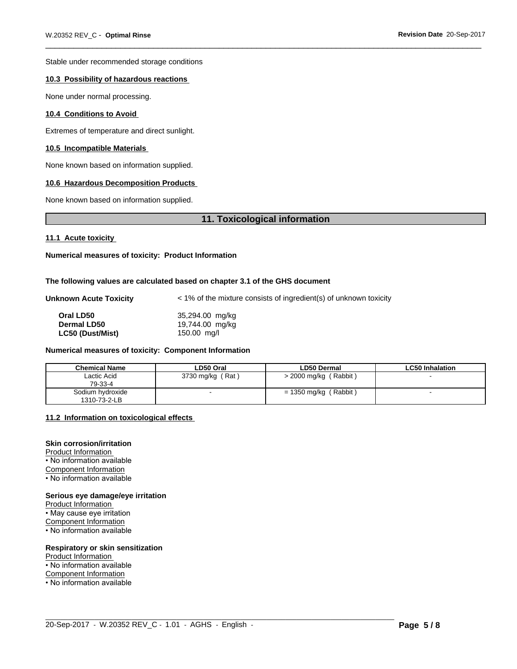Stable under recommended storage conditions

#### **10.3 Possibility of hazardous reactions**

None under normal processing.

#### **10.4 Conditions to Avoid**

Extremes of temperature and direct sunlight.

#### **10.5 Incompatible Materials**

None known based on information supplied.

#### **10.6 Hazardous Decomposition Products**

None known based on information supplied.

### **11. Toxicological information**

#### **11.1 Acute toxicity**

**Numerical measures of toxicity: Product Information**

#### **The following values are calculated based on chapter 3.1 of the GHS document**

Unknown Acute Toxicity  $\lt 1\%$  of the mixture consists of ingredient(s) of unknown toxicity

| Oral LD50        | 35,294.00 mg/kg |
|------------------|-----------------|
| Dermal LD50      | 19,744.00 mg/kg |
| LC50 (Dust/Mist) | $150.00$ mg/l   |

#### **Numerical measures of toxicity: Component Information**

| <b>Chemical Name</b>             | LD50 Oral        | <b>LD50 Dermal</b>         | <b>LC50 Inhalation</b> |
|----------------------------------|------------------|----------------------------|------------------------|
| ∟actic Acid<br>79-33-4           | 3730 mg/kg (Rat) | > 2000 mg/kg (Rabbit)      |                        |
| Sodium hydroxide<br>1310-73-2-LB |                  | (Rabbit)<br>= 1350 mg/kg ( |                        |

 $\_$  ,  $\_$  ,  $\_$  ,  $\_$  ,  $\_$  ,  $\_$  ,  $\_$  ,  $\_$  ,  $\_$  ,  $\_$  ,  $\_$  ,  $\_$  ,  $\_$  ,  $\_$  ,  $\_$  ,  $\_$  ,  $\_$  ,  $\_$  ,  $\_$  ,  $\_$  ,  $\_$  ,  $\_$  ,  $\_$  ,  $\_$  ,  $\_$  ,  $\_$  ,  $\_$  ,  $\_$  ,  $\_$  ,  $\_$  ,  $\_$  ,  $\_$  ,  $\_$  ,  $\_$  ,  $\_$  ,  $\_$  ,  $\_$  ,

#### **11.2 Information on toxicologicaleffects**

#### **Skin corrosion/irritation**

Product Information • No information available Component Information • No information available

#### **Serious eye damage/eye irritation**

Product Information • May cause eye irritation Component Information • No information available

#### **Respiratory or skin sensitization**

Product Information

- No information available
- Component Information

• No information available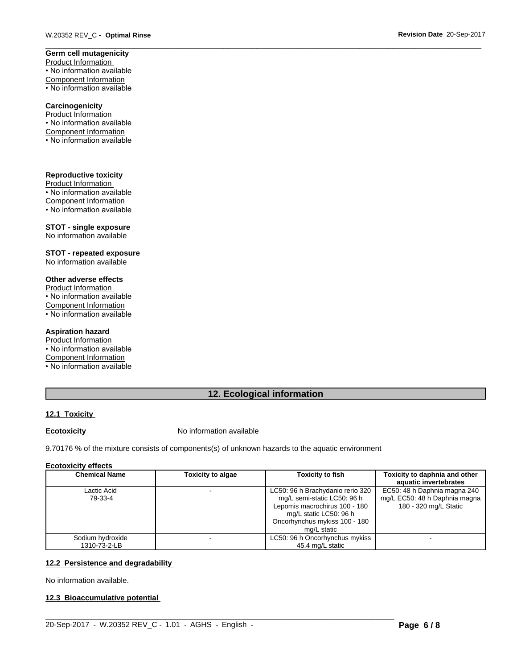# **Germ cell mutagenicity**

Product Information • No information available Component Information • No information available

#### **Carcinogenicity**

Product Information • No information available Component Information • No information available

#### **Reproductive toxicity**

Product Information • No information available Component Information • No information available

#### **STOT - single exposure**

No information available

#### **STOT - repeated exposure** No information available

# **Other adverse effects**

Product Information • No information available

Component Information

• No information available

#### **Aspiration hazard**

Product Information • No information available

Component Information

• No information available

# **12. Ecological information**

# **12.1 Toxicity**

**Ecotoxicity No information available** 

9.70176 % of the mixture consists of components(s) of unknown hazards to the aquatic environment

#### **Ecotoxicity effects**

| <b>Chemical Name</b>   | <b>Toxicity to algae</b> | <b>Toxicity to fish</b>                                                                                                                                                    | Toxicity to daphnia and other<br>aquatic invertebrates                                 |
|------------------------|--------------------------|----------------------------------------------------------------------------------------------------------------------------------------------------------------------------|----------------------------------------------------------------------------------------|
| Lactic Acid<br>79-33-4 |                          | LC50: 96 h Brachydanio rerio 320<br>mg/L semi-static LC50: 96 h<br>Lepomis macrochirus 100 - 180<br>mg/L static LC50: 96 h<br>Oncorhynchus mykiss 100 - 180<br>mg/L static | EC50: 48 h Daphnia magna 240<br>mg/L EC50: 48 h Daphnia magna<br>180 - 320 mg/L Static |
| Sodium hydroxide       |                          | LC50: 96 h Oncorhynchus mykiss                                                                                                                                             |                                                                                        |
| 1310-73-2-LB           |                          | 45.4 mg/L static                                                                                                                                                           |                                                                                        |

 $\_$  ,  $\_$  ,  $\_$  ,  $\_$  ,  $\_$  ,  $\_$  ,  $\_$  ,  $\_$  ,  $\_$  ,  $\_$  ,  $\_$  ,  $\_$  ,  $\_$  ,  $\_$  ,  $\_$  ,  $\_$  ,  $\_$  ,  $\_$  ,  $\_$  ,  $\_$  ,  $\_$  ,  $\_$  ,  $\_$  ,  $\_$  ,  $\_$  ,  $\_$  ,  $\_$  ,  $\_$  ,  $\_$  ,  $\_$  ,  $\_$  ,  $\_$  ,  $\_$  ,  $\_$  ,  $\_$  ,  $\_$  ,  $\_$  ,

#### **12.2 Persistence and degradability**

No information available.

#### **12.3 Bioaccumulative potential**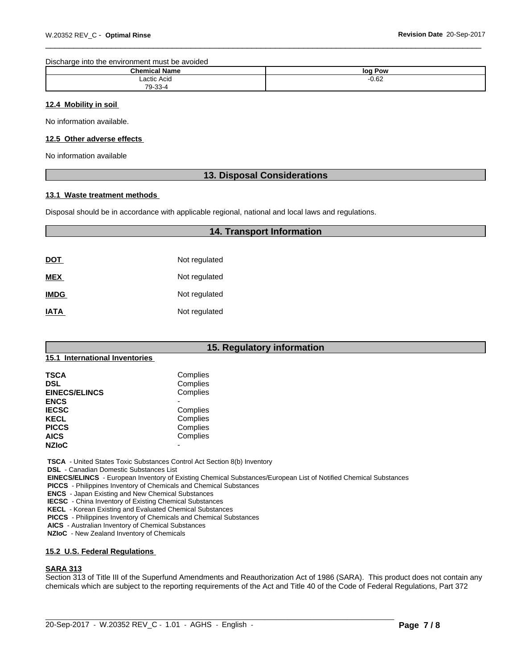Discharge into the environment must be avoided

| . .<br>Champs of the same of the same of the same of the same of the same of the same of the same of the same of the same of the same of the same of the same of the same of the same of the same of the same of the same of the same<br>Name<br>ыешка | log<br>Pow    |
|--------------------------------------------------------------------------------------------------------------------------------------------------------------------------------------------------------------------------------------------------------|---------------|
| Lactic Acid                                                                                                                                                                                                                                            | റ മാ<br>-∪.0∠ |
| $79-33-$                                                                                                                                                                                                                                               |               |

#### **12.4 Mobility in soil**

No information available.

#### **12.5 Other adverse effects**

No information available

### **13. Disposal Considerations**

**14. Transport Information**

#### **13.1 Waste treatment methods**

Disposal should be in accordance with applicable regional, national and local laws and regulations.

| <b>DOT</b>  | Not regulated |
|-------------|---------------|
| <b>MEX</b>  | Not regulated |
| <b>IMDG</b> | Not regulated |
| <b>IATA</b> | Not regulated |

# **15. Regulatory information 15.1 International Inventories TSCA** Complies **DSL** Complies **EINECS/ELINCS** Complies **ENCS** - **IECSC** Complies KECL Complies PICCS Complies **AICS** Complies **NZIoC**

 **TSCA** - United States Toxic Substances Control Act Section 8(b) Inventory

 **DSL** - Canadian Domestic Substances List

 **EINECS/ELINCS** - European Inventory of Existing Chemical Substances/European List of Notified Chemical Substances

 **PICCS** - Philippines Inventory of Chemicals and Chemical Substances

 **ENCS** - Japan Existing and New Chemical Substances

 **IECSC** - China Inventory of Existing Chemical Substances

 **KECL** - Korean Existing and Evaluated Chemical Substances

 **PICCS** - Philippines Inventory of Chemicals and Chemical Substances

 **AICS** - Australian Inventory of Chemical Substances

 **NZIoC** - New Zealand Inventory of Chemicals

#### **15.2 U.S. Federal Regulations**

#### **SARA 313**

Section 313 of Title III of the Superfund Amendments and Reauthorization Act of 1986 (SARA). This product does not contain any chemicals which are subject to the reporting requirements of the Act and Title 40 of the Code of Federal Regulations, Part 372

 $\_$  ,  $\_$  ,  $\_$  ,  $\_$  ,  $\_$  ,  $\_$  ,  $\_$  ,  $\_$  ,  $\_$  ,  $\_$  ,  $\_$  ,  $\_$  ,  $\_$  ,  $\_$  ,  $\_$  ,  $\_$  ,  $\_$  ,  $\_$  ,  $\_$  ,  $\_$  ,  $\_$  ,  $\_$  ,  $\_$  ,  $\_$  ,  $\_$  ,  $\_$  ,  $\_$  ,  $\_$  ,  $\_$  ,  $\_$  ,  $\_$  ,  $\_$  ,  $\_$  ,  $\_$  ,  $\_$  ,  $\_$  ,  $\_$  ,